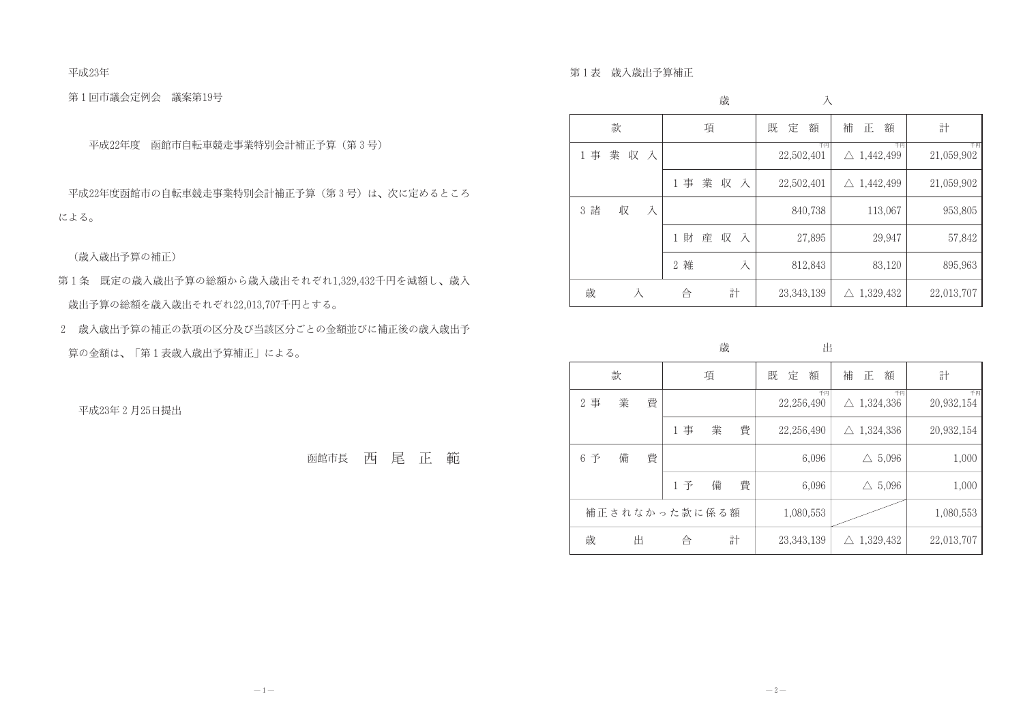平成23年

第1回市議会定例会 議案第19号

平成22年度 函館市自転車競走事業特別会計補正予算(第3号)

平成22年度函館市の自転車競走事業特別会計補正予算(第3号)は、次に定めるところ による。

(歳入歳出予算の補正)

- 第1条 既定の歳入歳出予算の総額から歳入歳出それぞれ1,329,432千円を減額し、歳入 歳出予算の総額を歳入歳出それぞれ22,013,707千円とする。
- 2 歳入歳出予算の補正の款項の区分及び当該区分ごとの金額並びに補正後の歳入歳出予 算の金額は、「第1表歳入歳出予算補正」による。

平成23年2月25日提出

函館市長 西尾正範

第1表 歳入歳出予算補正

|                       | 歳                                | 入                |                             |                  |
|-----------------------|----------------------------------|------------------|-----------------------------|------------------|
| 款                     | 項                                | 定<br>額<br>既      | 補<br>額<br>正                 | 計                |
| 業<br>1 事<br>収 入       |                                  | 千円<br>22,502,401 | 千円<br>$\triangle$ 1,442,499 | 千円<br>21,059,902 |
|                       | 業収入<br>1 事                       | 22,502,401       | $\triangle$ 1,442,499       | 21,059,902       |
| 3 諸<br>収<br>$\lambda$ |                                  | 840,738          | 113,067                     | 953,805          |
|                       | 財<br>産<br>収<br>入<br>$\mathbf{1}$ | 27,895           | 29,947                      | 57,842           |
|                       | 2 雑<br>入                         | 812,843          | 83,120                      | 895,963          |
| 歳<br>Ā                | 計<br>合                           | 23, 343, 139     | 1,329,432<br>$\triangle$    | 22,013,707       |

歳

|                      |   |   |    | $\sim$ |   |                  |                                |                  |  |  |
|----------------------|---|---|----|--------|---|------------------|--------------------------------|------------------|--|--|
|                      | 款 |   |    | 項      |   | 定<br>既<br>額      | 補<br>額<br>正                    | 計                |  |  |
| 事<br>2               | 業 | 費 |    |        |   | 千円<br>22,256,490 | 千円<br>1,324,336<br>$\triangle$ | 千円<br>20,932,154 |  |  |
|                      |   |   | 事  | 業      | 費 | 22,256,490       | $\triangle$ 1,324,336          | 20,932,154       |  |  |
| 予<br>$6\phantom{.}6$ | 備 | 費 |    |        |   | 6,096            | 5,096<br>$\triangle$           | 1,000            |  |  |
|                      |   |   | 1予 | 備      | 費 | 6,096            | 5,096<br>$\triangle$           | 1,000            |  |  |
| 補正されなかった款に係る額        |   |   |    |        |   | 1,080,553        |                                | 1,080,553        |  |  |
| 歳                    | 出 |   | 合  |        | 計 | 23, 343, 139     | $\triangle$ 1,329,432          | 22,013,707       |  |  |

出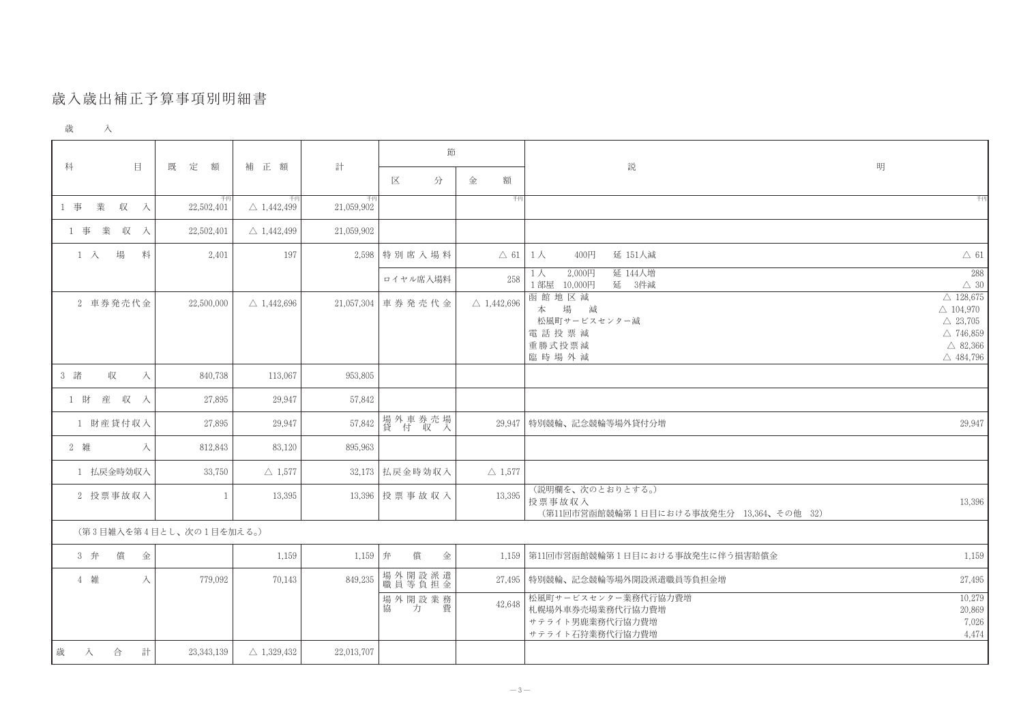## 歲入歲出補正予算事項別明細書

| 歳 | $\rightarrow$<br>ハ |  |
|---|--------------------|--|
|   |                    |  |

|                         |                  | 補 正 額                       | 計                | 節                 |                       |                                                                               |                                                                                                                                        |
|-------------------------|------------------|-----------------------------|------------------|-------------------|-----------------------|-------------------------------------------------------------------------------|----------------------------------------------------------------------------------------------------------------------------------------|
| $\mathbf{E}$<br>科       | 既<br>定<br>額      |                             |                  | 分<br>区            | 額<br>金                | 説                                                                             | 明                                                                                                                                      |
| 業<br>1 事<br>収<br>入      | 千円<br>22,502,401 | 千円<br>$\triangle$ 1,442,499 | 千円<br>21,059,902 |                   | 千円                    |                                                                               | 千円                                                                                                                                     |
| 業<br>収<br>1 事<br>人      | 22,502,401       | $\triangle$ 1,442,499       | 21,059,902       |                   |                       |                                                                               |                                                                                                                                        |
| 場<br>$1 \lambda$<br>料   | 2,401            | 197                         |                  | 2,598 特別席入場料      |                       | 400円<br>延 151人減<br>$\triangle$ 61   1 $\triangle$                             | $\triangle$ 61                                                                                                                         |
|                         |                  |                             |                  | ロイヤル席入場料          | 258                   | 延 144人増<br>2,000円<br>$1$ 人<br>1部屋 10,000円<br>延<br>3件減                         | 288<br>$\triangle~30$                                                                                                                  |
| 2 車券発売代金                | 22,500,000       | $\triangle$ 1,442,696       |                  | 21,057,304 車券発売代金 | $\triangle$ 1,442,696 | 函館地区減<br>場<br>減<br>本<br>松風町サービスセンター減<br>電話投票減<br>重勝式投票減<br>臨時場外減              | $\triangle~128,\!675$<br>$\triangle$ 104,970<br>$\triangle$ 23,705<br>$\triangle$ 746,859<br>$\triangle$ 82,366<br>$\triangle$ 484,796 |
| 3 諸<br>収<br>入           | 840,738          | 113,067                     | 953,805          |                   |                       |                                                                               |                                                                                                                                        |
| 1 財 産 収 入               | 27,895           | 29,947                      | 57,842           |                   |                       |                                                                               |                                                                                                                                        |
| 1 財産貸付収入                | 27,895           | 29,947                      | 57,842           | 場外車券売場<br>貸 付 収 入 | 29,947                | 特別競輪、記念競輪等場外貸付分増                                                              | 29,947                                                                                                                                 |
| 2 雑<br>入                | 812,843          | 83,120                      | 895,963          |                   |                       |                                                                               |                                                                                                                                        |
| 1 払戻金時効収入               | 33,750           | $\triangle$ 1,577           | 32,173           | 払戻金時効収入           | $\triangle$ 1,577     |                                                                               |                                                                                                                                        |
| 2 投票事故収入                |                  | 13,395                      |                  | 13,396 投票事故収入     | 13,395                | (説明欄を、次のとおりとする。)<br>投票事故収入<br>(第11回市営函館競輪第1日目における事故発生分 13,364、その他 32)         | 13,396                                                                                                                                 |
| (第3目雑入を第4目とし、次の1目を加える。) |                  |                             |                  |                   |                       |                                                                               |                                                                                                                                        |
| 償<br>3 弁<br>金           |                  | 1,159                       | $1,159$ 弁        | 償<br>金            |                       | 1,159   第11回市営函館競輪第1日目における事故発生に伴う損害賠償金                                        | 1,159                                                                                                                                  |
| 4 雑<br>入                | 779,092          | 70,143                      | 849,235          | 場外開設派遣<br>職員等負担金  |                       | 27,495 特別競輪、記念競輪等場外開設派遣職員等負担金増                                                | 27,495                                                                                                                                 |
|                         |                  |                             |                  | 場外開設業務<br>協力 費    | 42,648                | 松風町サービスセンター業務代行協力費増<br>札幌場外車券売場業務代行協力費増<br>サテライト男鹿業務代行協力費増<br>サテライト石狩業務代行協力費増 | 10,279<br>20,869<br>7,026<br>4,474                                                                                                     |
| 歳<br>計<br>合<br>入        | 23, 343, 139     | $\triangle$ 1,329,432       | 22,013,707       |                   |                       |                                                                               |                                                                                                                                        |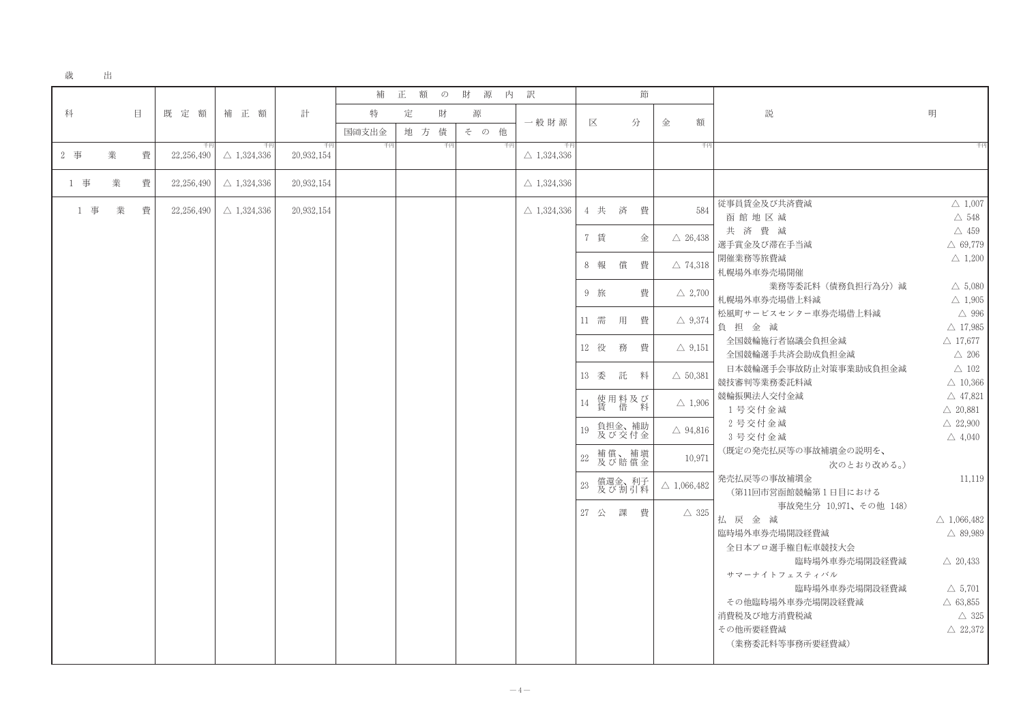## 歳 出

|     |   |   |                  |                             |                  | 補           | 正   | 額<br>$\mathcal{D}$ | 財<br>源 | 内       | 訳                           |        |      |                    | 節 |                       |                                                                   |
|-----|---|---|------------------|-----------------------------|------------------|-------------|-----|--------------------|--------|---------|-----------------------------|--------|------|--------------------|---|-----------------------|-------------------------------------------------------------------|
| 科   |   | 目 | 既定額              | 補 正 額                       | 計                | 特           | 定   | 財                  | 源      |         | 一般財源                        |        | 区    |                    | 分 | 額<br>金                | 説                                                                 |
| 2 事 | 業 | 費 | 千円<br>22,256,490 | 千円<br>$\triangle$ 1,324,336 | 千円<br>20,932,154 | 国通支出金<br>千円 | 地 方 | 債<br>千円            | その     | 他<br>千円 | 千円<br>$\triangle$ 1,324,336 |        |      |                    |   | 千円                    |                                                                   |
| 1 事 | 業 | 費 | 22,256,490       | $\triangle$ 1,324,336       | 20,932,154       |             |     |                    |        |         | $\triangle$ 1,324,336       |        |      |                    |   |                       |                                                                   |
| 1 事 | 業 | 費 | 22,256,490       | $\triangle$ 1,324,336       | 20,932,154       |             |     |                    |        |         | $\triangle$ 1,324,336       |        | 4 共  | 済                  | 費 | 584                   | 従事員賃金及ひ                                                           |
|     |   |   |                  |                             |                  |             |     |                    |        |         |                             |        | 7 賃  |                    | 金 | $\triangle$ 26,438    | 函館地区<br>共済費                                                       |
|     |   |   |                  |                             |                  |             |     |                    |        |         |                             |        | 8 報  | 償                  |   |                       | 選手賞金及び<br>開催業務等旅費                                                 |
|     |   |   |                  |                             |                  |             |     |                    |        |         |                             |        |      |                    | 費 | $\triangle$ 74,318    | 札幌場外車券<br>主                                                       |
|     |   |   |                  |                             |                  |             |     |                    |        |         |                             |        | 9 旅  |                    | 費 | $\triangle$ 2,700     | 札幌場外車券<br>松風町サービン                                                 |
|     |   |   |                  |                             |                  |             |     |                    |        |         |                             |        | 11 需 | 用                  | 費 | $\triangle$ 9,374     | 負担金<br>全国競輪施                                                      |
|     |   |   |                  |                             |                  |             |     |                    |        |         |                             |        | 12 役 | 務                  | 費 | $\triangle$ 9,151     | 全国競輪選<br>日本競輪選                                                    |
|     |   |   |                  |                             |                  |             |     |                    |        |         |                             |        | 13 委 | 託                  | 料 | $\triangle$ 50,381    | 競技審判等業<br>競輪振興法人                                                  |
|     |   |   |                  |                             |                  |             |     |                    |        |         |                             | 14     |      | 使用料及び<br>賃 借 料     |   | $\triangle$ 1,906     | 1号交付金<br>2号交付金                                                    |
|     |   |   |                  |                             |                  |             |     |                    |        |         |                             | 19     |      | 負担金、補助<br>及び交付金    |   | $\triangle$ 94,816    | 3号交付金                                                             |
|     |   |   |                  |                             |                  |             |     |                    |        |         |                             | $22\,$ |      | 補償、補塡<br>及び賠償金     |   | 10,971                | (既定の発売                                                            |
|     |   |   |                  |                             |                  |             |     |                    |        |         |                             | $23\,$ |      | 償還金、利子<br>及び 割 引 料 |   | $\triangle$ 1,066,482 | 発売払戻等の<br>(第11回市                                                  |
|     |   |   |                  |                             |                  |             |     |                    |        |         |                             |        | 27 公 | 課                  | 費 | $\triangle$ 325       | 払 戻 金 j<br>臨時場外車券<br>全日本プロ<br>サマーナイ<br>その他臨時<br>消費税及び地プ<br>その他所要経 |
|     |   |   |                  |                             |                  |             |     |                    |        |         |                             |        |      |                    |   |                       | (業務委託)                                                            |

び共済費減  $\triangle$  1,007 減  $\triangle$  548 減  $\triangle$  459 滞在手当減  $\triangle$  69,779 費減  $\triangle$  1,200 売場開催  $\triangle$  5,080 業務等委託料(債務負担行為分)減 壳場借上料減  $\triangle$  1,905 スセンター車券売場借上料減  $\triangle$  996 減  $\triangle$  17,985 行者協議会負担金減  $\triangle$  17,677 手共済会助成負担金減  $\triangle$  206 手会事故防止対策事業助成負担金減  $\triangle$  102 務委託料減  $\triangle$  10,366 交付金減  $\triangle$  47,821 金減  $\triangle$  20.881 金減  $\triangle$  22,900 金減  $\triangle$  4,040 払戻等の事故補塡金の説明を、 次のとおり改める。) 事故補塡金 11,119 営函館競輪第1日目における 事故発生分 10,971、その他 148) 減  $\triangle$  1,066,482 売場開設経費減  $\triangle$  89,989 選手権自転車競技大会 臨時場外車券売場開設経費減  $\triangle$  20,433 トフェスティバル 臨時場外車券売場開設経費減  $\triangle$  5,701 場外車券売場開設経費減  $\triangle$  63,855 方消費税減  $\triangle$  325 費減  $\triangle~22{,}372$ 料等事務所要経費減)

明